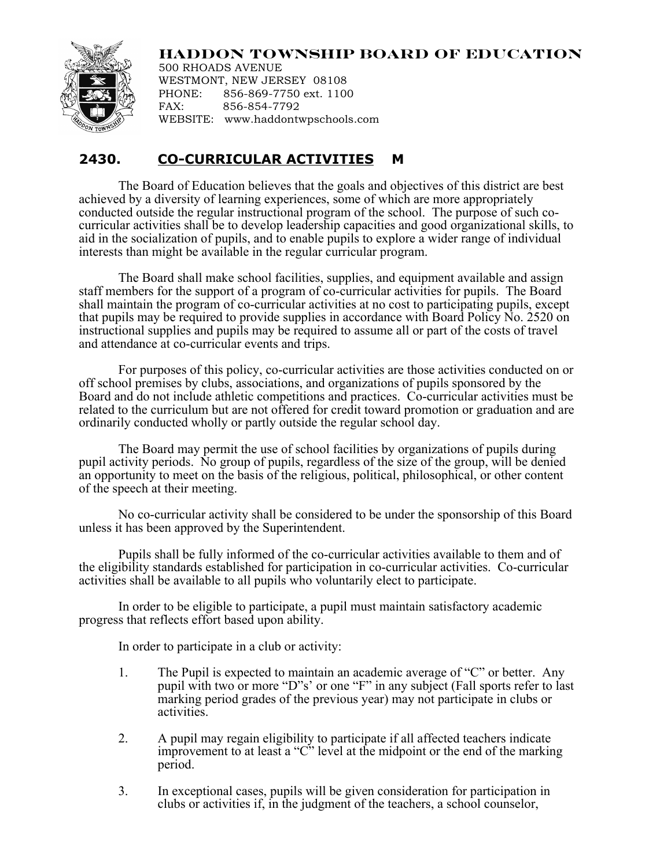## **HADDON TOWNSHIP BOARD OF EDUCATION**



500 RHOADS AVENUE WESTMONT, NEW JERSEY 08108 PHONE: 856-869-7750 ext. 1100 FAX: 856-854-7792 WEBSITE: www.haddontwpschools.com

## **2430. CO-CURRICULAR ACTIVITIES M**

The Board of Education believes that the goals and objectives of this district are best achieved by a diversity of learning experiences, some of which are more appropriately conducted outside the regular instructional program of the school. The purpose of such cocurricular activities shall be to develop leadership capacities and good organizational skills, to aid in the socialization of pupils, and to enable pupils to explore a wider range of individual interests than might be available in the regular curricular program.

The Board shall make school facilities, supplies, and equipment available and assign staff members for the support of a program of co-curricular activities for pupils. The Board shall maintain the program of co-curricular activities at no cost to participating pupils, except that pupils may be required to provide supplies in accordance with Board Policy No. 2520 on instructional supplies and pupils may be required to assume all or part of the costs of travel and attendance at co-curricular events and trips.

For purposes of this policy, co-curricular activities are those activities conducted on or off school premises by clubs, associations, and organizations of pupils sponsored by the Board and do not include athletic competitions and practices. Co-curricular activities must be related to the curriculum but are not offered for credit toward promotion or graduation and are ordinarily conducted wholly or partly outside the regular school day.

The Board may permit the use of school facilities by organizations of pupils during pupil activity periods. No group of pupils, regardless of the size of the group, will be denied an opportunity to meet on the basis of the religious, political, philosophical, or other content of the speech at their meeting.

No co-curricular activity shall be considered to be under the sponsorship of this Board unless it has been approved by the Superintendent.

Pupils shall be fully informed of the co-curricular activities available to them and of the eligibility standards established for participation in co-curricular activities. Co-curricular activities shall be available to all pupils who voluntarily elect to participate.

In order to be eligible to participate, a pupil must maintain satisfactory academic progress that reflects effort based upon ability.

In order to participate in a club or activity:

- 1. The Pupil is expected to maintain an academic average of "C" or better. Any pupil with two or more "D"s' or one "F" in any subject (Fall sports refer to last marking period grades of the previous year) may not participate in clubs or activities.
- 2. A pupil may regain eligibility to participate if all affected teachers indicate improvement to at least a "C" level at the midpoint or the end of the marking period.
- 3. In exceptional cases, pupils will be given consideration for participation in clubs or activities if, in the judgment of the teachers, a school counselor,